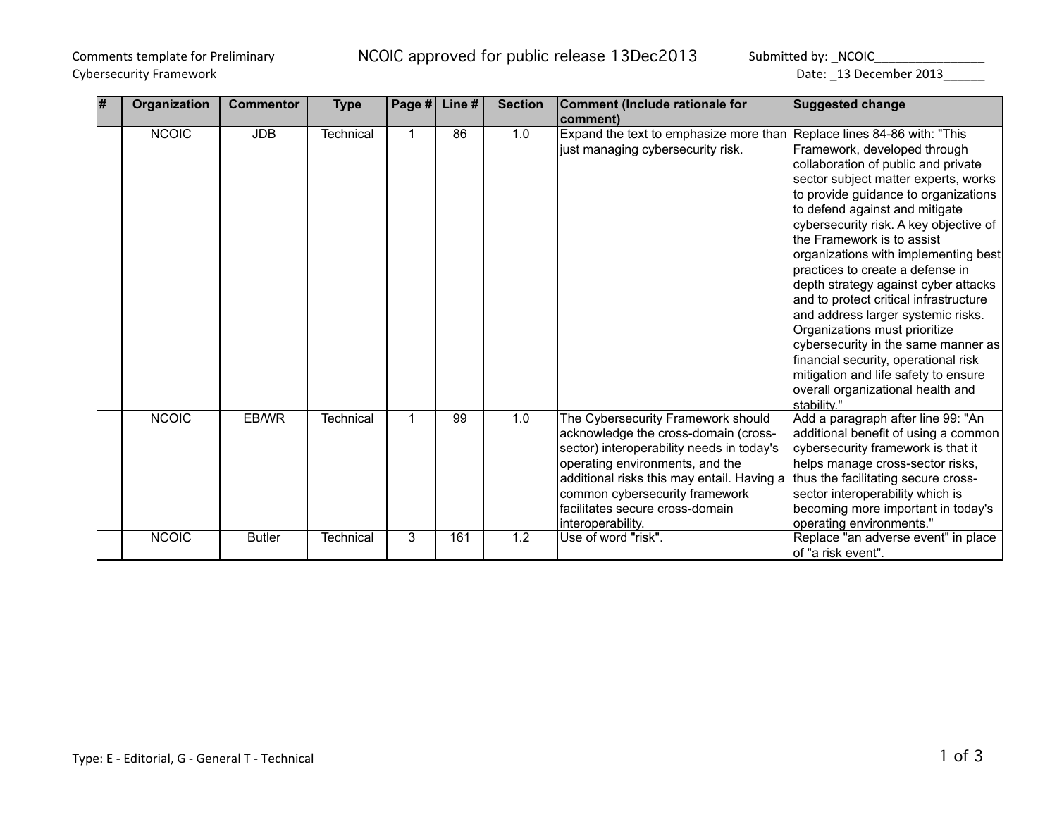# Cybersecurity Framework Date: \_13 December 2013\_\_\_\_\_\_

Comments template for Preliminary **NCOIC** approved for public release 13Dec2013 Submitted by: \_NCOIC\_\_\_\_\_\_\_\_\_\_\_\_\_

| l# | Organization | <b>Commentor</b> | <b>Type</b> | Page # | Line # | <b>Section</b> | <b>Comment (Include rationale for</b>                                  | <b>Suggested change</b>                |
|----|--------------|------------------|-------------|--------|--------|----------------|------------------------------------------------------------------------|----------------------------------------|
|    |              |                  |             |        |        |                | comment)                                                               |                                        |
|    | <b>NCOIC</b> | <b>JDB</b>       | Technical   |        | 86     | 1.0            | Expand the text to emphasize more than Replace lines 84-86 with: "This |                                        |
|    |              |                  |             |        |        |                | just managing cybersecurity risk.                                      | Framework, developed through           |
|    |              |                  |             |        |        |                |                                                                        | collaboration of public and private    |
|    |              |                  |             |        |        |                |                                                                        | sector subject matter experts, works   |
|    |              |                  |             |        |        |                |                                                                        | to provide guidance to organizations   |
|    |              |                  |             |        |        |                |                                                                        | to defend against and mitigate         |
|    |              |                  |             |        |        |                |                                                                        | cybersecurity risk. A key objective of |
|    |              |                  |             |        |        |                |                                                                        | the Framework is to assist             |
|    |              |                  |             |        |        |                |                                                                        | organizations with implementing best   |
|    |              |                  |             |        |        |                |                                                                        | practices to create a defense in       |
|    |              |                  |             |        |        |                |                                                                        | depth strategy against cyber attacks   |
|    |              |                  |             |        |        |                |                                                                        | and to protect critical infrastructure |
|    |              |                  |             |        |        |                |                                                                        | and address larger systemic risks.     |
|    |              |                  |             |        |        |                |                                                                        | Organizations must prioritize          |
|    |              |                  |             |        |        |                |                                                                        | cybersecurity in the same manner as    |
|    |              |                  |             |        |        |                |                                                                        | financial security, operational risk   |
|    |              |                  |             |        |        |                |                                                                        | mitigation and life safety to ensure   |
|    |              |                  |             |        |        |                |                                                                        | overall organizational health and      |
|    |              |                  |             |        |        |                |                                                                        | stability."                            |
|    | <b>NCOIC</b> | EB/WR            | Technical   | 1      | 99     | 1.0            | The Cybersecurity Framework should                                     | Add a paragraph after line 99: "An     |
|    |              |                  |             |        |        |                | acknowledge the cross-domain (cross-                                   | additional benefit of using a common   |
|    |              |                  |             |        |        |                | sector) interoperability needs in today's                              | cybersecurity framework is that it     |
|    |              |                  |             |        |        |                | operating environments, and the                                        | helps manage cross-sector risks,       |
|    |              |                  |             |        |        |                | additional risks this may entail. Having a                             | thus the facilitating secure cross-    |
|    |              |                  |             |        |        |                | common cybersecurity framework                                         | sector interoperability which is       |
|    |              |                  |             |        |        |                | facilitates secure cross-domain                                        | becoming more important in today's     |
|    |              |                  |             |        |        |                | interoperability.                                                      | operating environments."               |
|    | <b>NCOIC</b> | <b>Butler</b>    | Technical   | 3      | 161    | 1.2            | Use of word "risk".                                                    | Replace "an adverse event" in place    |
|    |              |                  |             |        |        |                |                                                                        | lof "a risk event".                    |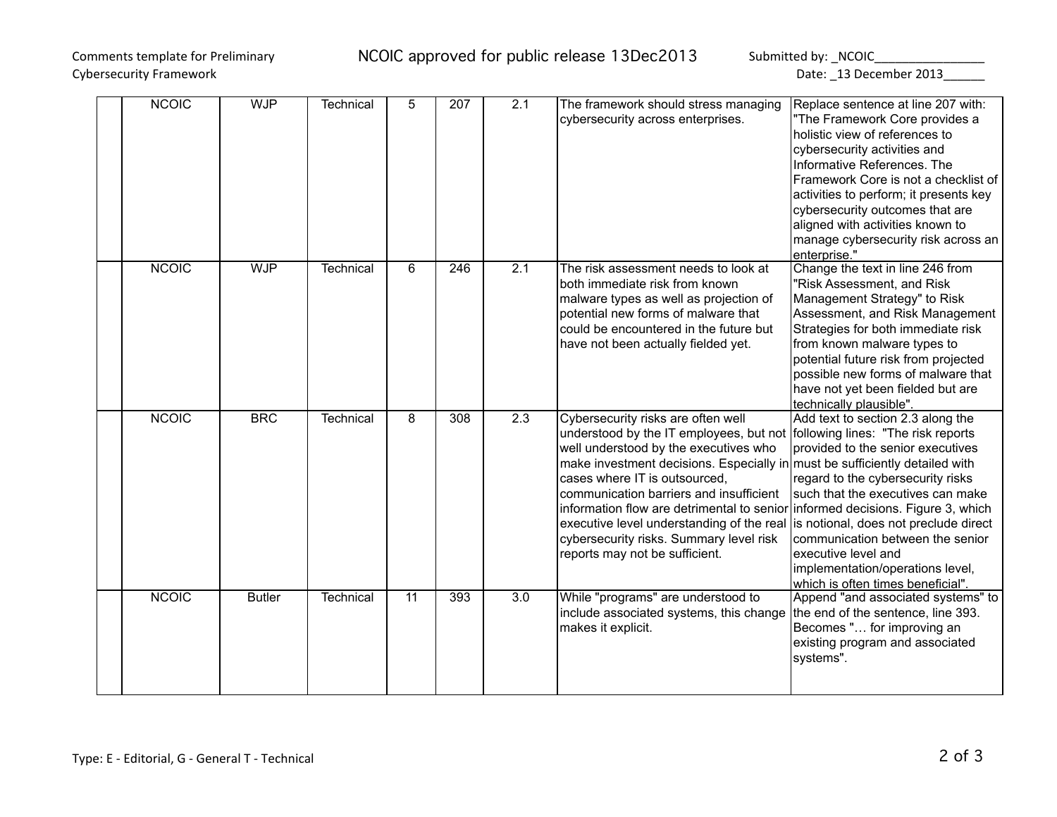# Cybersecurity Framework Date: \_13 December 2013\_\_\_\_\_\_

## Comments template for Preliminary **NCOIC** approved for public release 13Dec2013 Submitted by: \_NCOIC\_\_\_\_\_\_\_\_\_\_\_\_\_

| <b>NCOIC</b> | <b>WJP</b>    | <b>Technical</b> | 5               | 207 | 2.1              | The framework should stress managing<br>cybersecurity across enterprises.                                                                                                                                                                                                                                                                                                                                                                                                                                                                                              | Replace sentence at line 207 with:<br>"The Framework Core provides a<br>holistic view of references to<br>cybersecurity activities and<br>Informative References. The<br>Framework Core is not a checklist of<br>activities to perform; it presents key<br>cybersecurity outcomes that are                                                           |
|--------------|---------------|------------------|-----------------|-----|------------------|------------------------------------------------------------------------------------------------------------------------------------------------------------------------------------------------------------------------------------------------------------------------------------------------------------------------------------------------------------------------------------------------------------------------------------------------------------------------------------------------------------------------------------------------------------------------|------------------------------------------------------------------------------------------------------------------------------------------------------------------------------------------------------------------------------------------------------------------------------------------------------------------------------------------------------|
|              |               |                  |                 |     |                  |                                                                                                                                                                                                                                                                                                                                                                                                                                                                                                                                                                        | aligned with activities known to<br>manage cybersecurity risk across an<br>enterprise."                                                                                                                                                                                                                                                              |
| <b>NCOIC</b> | <b>WJP</b>    | Technical        | 6               | 246 | 2.1              | The risk assessment needs to look at<br>both immediate risk from known<br>malware types as well as projection of<br>potential new forms of malware that<br>could be encountered in the future but<br>have not been actually fielded yet.                                                                                                                                                                                                                                                                                                                               | Change the text in line 246 from<br>"Risk Assessment, and Risk<br>Management Strategy" to Risk<br>Assessment, and Risk Management<br>Strategies for both immediate risk<br>from known malware types to<br>potential future risk from projected<br>possible new forms of malware that<br>have not yet been fielded but are<br>technically plausible". |
| <b>NCOIC</b> | <b>BRC</b>    | Technical        | 8               | 308 | 2.3              | Cybersecurity risks are often well<br>understood by the IT employees, but not following lines: "The risk reports<br>well understood by the executives who<br>make investment decisions. Especially in must be sufficiently detailed with<br>cases where IT is outsourced,<br>communication barriers and insufficient<br>information flow are detrimental to senior informed decisions. Figure 3, which<br>executive level understanding of the real is notional, does not preclude direct<br>cybersecurity risks. Summary level risk<br>reports may not be sufficient. | Add text to section 2.3 along the<br>provided to the senior executives<br>regard to the cybersecurity risks<br>such that the executives can make<br>communication between the senior<br>executive level and<br>implementation/operations level,<br>which is often times beneficial".                                                                 |
| <b>NCOIC</b> | <b>Butler</b> | <b>Technical</b> | $\overline{11}$ | 393 | $\overline{3.0}$ | While "programs" are understood to<br>include associated systems, this change<br>makes it explicit.                                                                                                                                                                                                                                                                                                                                                                                                                                                                    | Append "and associated systems" to<br>the end of the sentence, line 393.<br>Becomes " for improving an<br>existing program and associated<br>systems".                                                                                                                                                                                               |